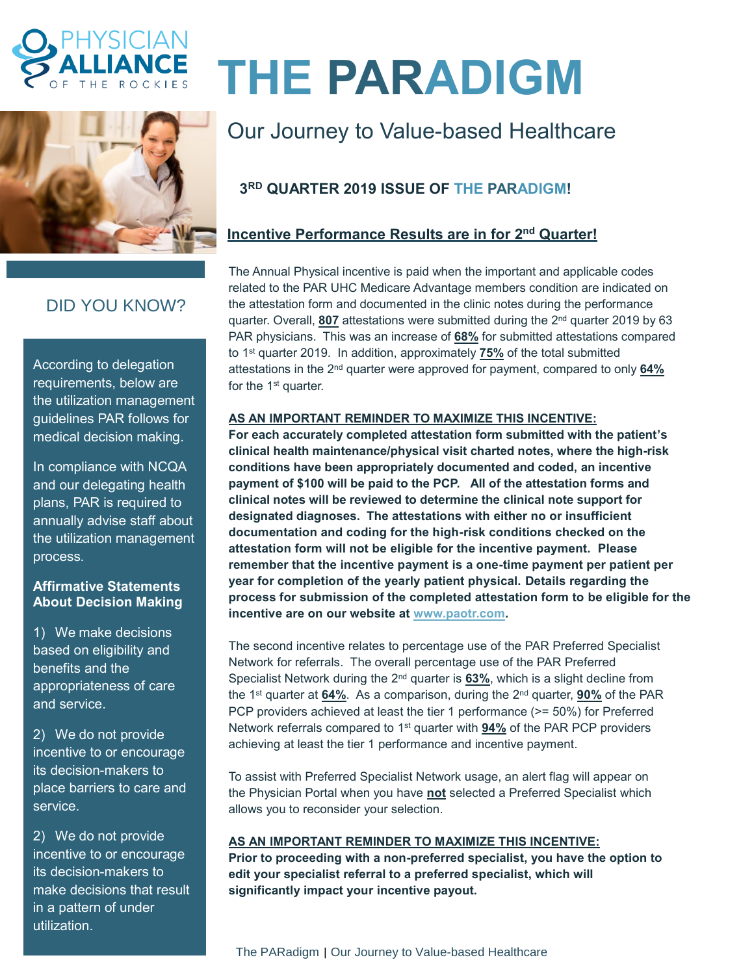



## DID YOU KNOW?

According to delegation requirements, below are the utilization management guidelines PAR follows for medical decision making.

In compliance with NCQA and our delegating health plans, PAR is required to annually advise staff about the utilization management process.

#### **Affirmative Statements About Decision Making**

1) We make decisions based on eligibility and benefits and the appropriateness of care and service.

2) We do not provide incentive to or encourage its decision-makers to place barriers to care and service.

2) We do not provide incentive to or encourage its decision-makers to make decisions that result in a pattern of under utilization.

# **THE PARADIGM**

# Our Journey to Value-based Healthcare

### **3 RD QUARTER 2019 ISSUE OF THE PARADIGM!**

#### **Incentive Performance Results are in for 2<sup>nd</sup> Quarter!**

The Annual Physical incentive is paid when the important and applicable codes related to the PAR UHC Medicare Advantage members condition are indicated on the attestation form and documented in the clinic notes during the performance quarter. Overall, **807** attestations were submitted during the 2<sup>nd</sup> quarter 2019 by 63 PAR physicians. This was an increase of **68%** for submitted attestations compared to 1 st quarter 2019. In addition, approximately **75%** of the total submitted attestations in the 2<sup>nd</sup> quarter were approved for payment, compared to only 64% for the 1<sup>st</sup> quarter.

#### **AS AN IMPORTANT REMINDER TO MAXIMIZE THIS INCENTIVE:**

**For each accurately completed attestation form submitted with the patient's clinical health maintenance/physical visit charted notes, where the high-risk conditions have been appropriately documented and coded, an incentive payment of \$100 will be paid to the PCP. All of the attestation forms and clinical notes will be reviewed to determine the clinical note support for designated diagnoses. The attestations with either no or insufficient documentation and coding for the high-risk conditions checked on the attestation form will not be eligible for the incentive payment. Please remember that the incentive payment is a one-time payment per patient per year for completion of the yearly patient physical. Details regarding the process for submission of the completed attestation form to be eligible for the incentive are on our website at [www.paotr.com.](http://www.paotr.com/)** 

The second incentive relates to percentage use of the PAR Preferred Specialist Network for referrals. The overall percentage use of the PAR Preferred Specialist Network during the 2<sup>nd</sup> quarter is **63%**, which is a slight decline from the 1 st quarter at **64%**. As a comparison, during the 2 nd quarter, **90%** of the PAR PCP providers achieved at least the tier 1 performance (>= 50%) for Preferred Network referrals compared to 1<sup>st</sup> quarter with **94%** of the PAR PCP providers achieving at least the tier 1 performance and incentive payment.

To assist with Preferred Specialist Network usage, an alert flag will appear on the Physician Portal when you have **not** selected a Preferred Specialist which allows you to reconsider your selection.

#### **AS AN IMPORTANT REMINDER TO MAXIMIZE THIS INCENTIVE:**

**Prior to proceeding with a non-preferred specialist, you have the option to edit your specialist referral to a preferred specialist, which will significantly impact your incentive payout.**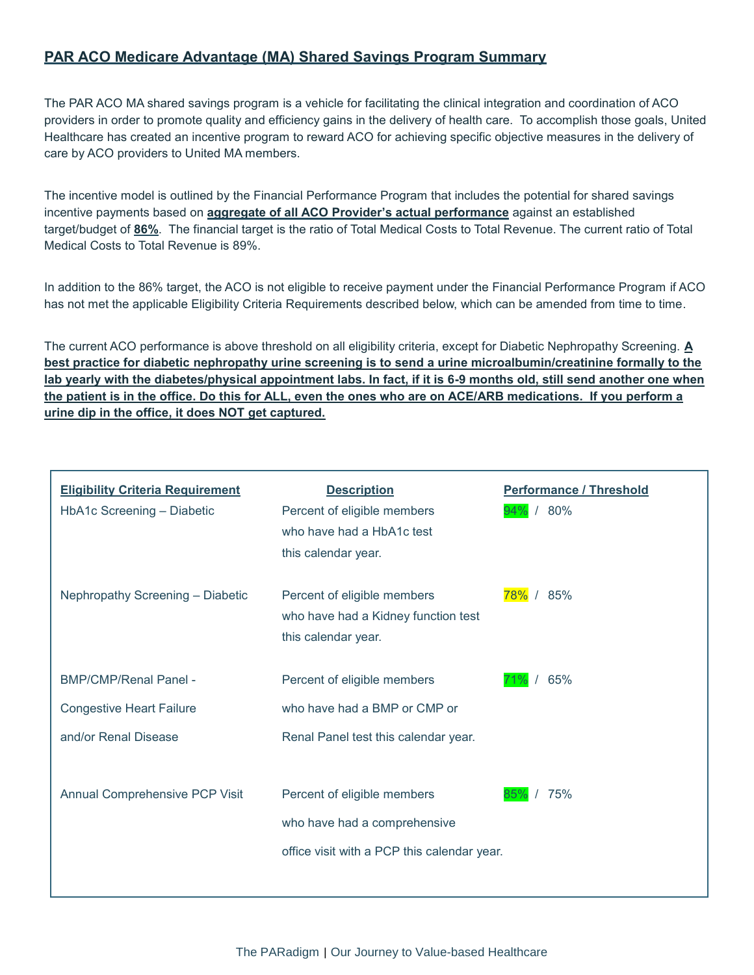#### **PAR ACO Medicare Advantage (MA) Shared Savings Program Summary**

The PAR ACO MA shared savings program is a vehicle for facilitating the clinical integration and coordination of ACO providers in order to promote quality and efficiency gains in the delivery of health care. To accomplish those goals, United Healthcare has created an incentive program to reward ACO for achieving specific objective measures in the delivery of care by ACO providers to United MA members.

The incentive model is outlined by the Financial Performance Program that includes the potential for shared savings incentive payments based on **aggregate of all ACO Provider's actual performance** against an established target/budget of **86%**. The financial target is the ratio of Total Medical Costs to Total Revenue. The current ratio of Total Medical Costs to Total Revenue is 89%.

In addition to the 86% target, the ACO is not eligible to receive payment under the Financial Performance Program if ACO has not met the applicable Eligibility Criteria Requirements described below, which can be amended from time to time.

The current ACO performance is above threshold on all eligibility criteria, except for Diabetic Nephropathy Screening. **A best practice for diabetic nephropathy urine screening is to send a urine microalbumin/creatinine formally to the lab yearly with the diabetes/physical appointment labs. In fact, if it is 6-9 months old, still send another one when the patient is in the office. Do this for ALL, even the ones who are on ACE/ARB medications. If you perform a urine dip in the office, it does NOT get captured.**

| <b>Eligibility Criteria Requirement</b><br>HbA1c Screening - Diabetic | <b>Description</b><br>Percent of eligible members<br>who have had a HbA1c test<br>this calendar year.      | <b>Performance / Threshold</b><br>94% / 80% |
|-----------------------------------------------------------------------|------------------------------------------------------------------------------------------------------------|---------------------------------------------|
| Nephropathy Screening - Diabetic                                      | Percent of eligible members<br>who have had a Kidney function test<br>this calendar year.                  | 78% / 85%                                   |
| <b>BMP/CMP/Renal Panel -</b>                                          | Percent of eligible members                                                                                | 65%                                         |
| <b>Congestive Heart Failure</b>                                       | who have had a BMP or CMP or                                                                               |                                             |
| and/or Renal Disease                                                  | Renal Panel test this calendar year.                                                                       |                                             |
| <b>Annual Comprehensive PCP Visit</b>                                 | Percent of eligible members<br>who have had a comprehensive<br>office visit with a PCP this calendar year. | /75%                                        |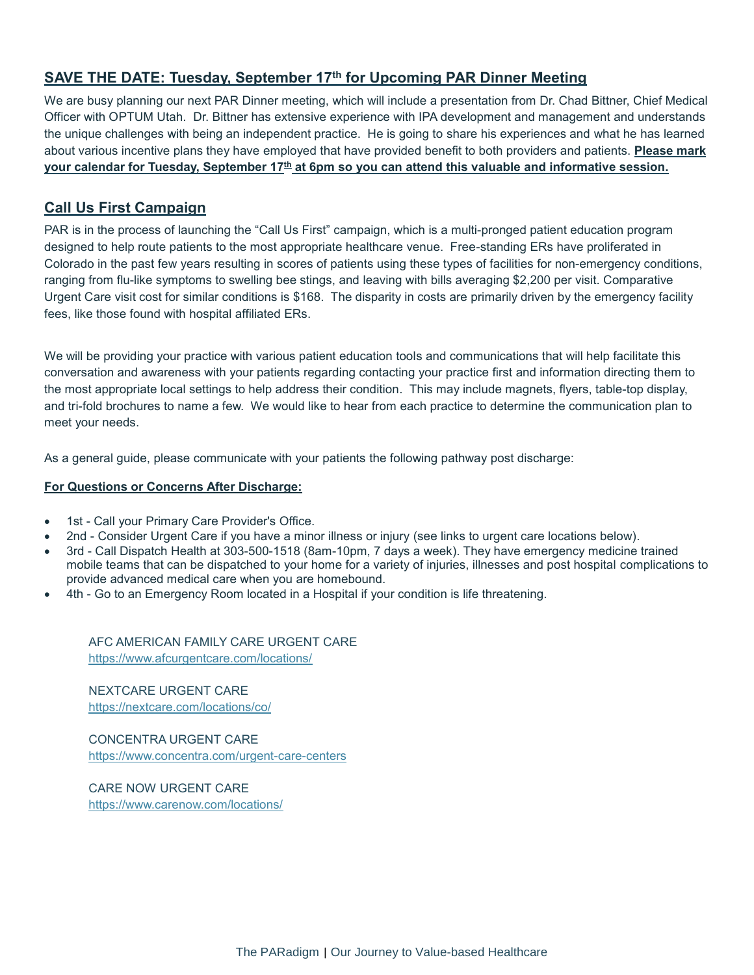#### **SAVE THE DATE: Tuesday, September 17 th for Upcoming PAR Dinner Meeting**

We are busy planning our next PAR Dinner meeting, which will include a presentation from Dr. Chad Bittner, Chief Medical Officer with OPTUM Utah. Dr. Bittner has extensive experience with IPA development and management and understands the unique challenges with being an independent practice. He is going to share his experiences and what he has learned about various incentive plans they have employed that have provided benefit to both providers and patients. **Please mark your calendar for Tuesday, September 17 th at 6pm so you can attend this valuable and informative session.**

#### **Call Us First Campaign**

PAR is in the process of launching the "Call Us First" campaign, which is a multi-pronged patient education program designed to help route patients to the most appropriate healthcare venue. Free-standing ERs have proliferated in Colorado in the past few years resulting in scores of patients using these types of facilities for non-emergency conditions, ranging from flu-like symptoms to swelling bee stings, and leaving with bills averaging \$2,200 per visit. Comparative Urgent Care visit cost for similar conditions is \$168. The disparity in costs are primarily driven by the emergency facility fees, like those found with hospital affiliated ERs.

We will be providing your practice with various patient education tools and communications that will help facilitate this conversation and awareness with your patients regarding contacting your practice first and information directing them to the most appropriate local settings to help address their condition. This may include magnets, flyers, table-top display, and tri-fold brochures to name a few. We would like to hear from each practice to determine the communication plan to meet your needs.

As a general guide, please communicate with your patients the following pathway post discharge:

#### **For Questions or Concerns After Discharge:**

- 1st Call your Primary Care Provider's Office.
- 2nd Consider Urgent Care if you have a minor illness or injury (see links to urgent care locations below).
- 3rd Call Dispatch Health at 303-500-1518 (8am-10pm, 7 days a week). They have emergency medicine trained mobile teams that can be dispatched to your home for a variety of injuries, illnesses and post hospital complications to provide advanced medical care when you are homebound.
- 4th Go to an Emergency Room located in a Hospital if your condition is life threatening.

AFC AMERICAN FAMILY CARE URGENT CARE <https://www.afcurgentcare.com/locations/>

NEXTCARE URGENT CARE <https://nextcare.com/locations/co/>

CONCENTRA URGENT CARE <https://www.concentra.com/urgent-care-centers>

CARE NOW URGENT CARE <https://www.carenow.com/locations/>